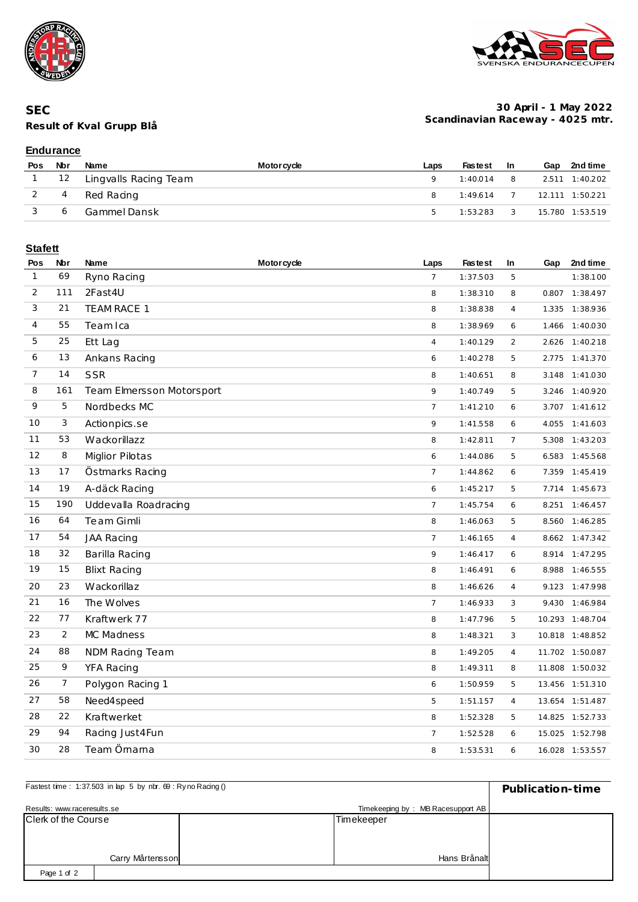





#### **30 April - 1 May 2022 Scandinavian Raceway - 4025 mtr.**

### **Endurance**

| Pos | Nbr | Name                       | <b>Motorcycle</b> | Laps          | <b>Fastest</b>                   | - In                       | Gap | 2nd time        |
|-----|-----|----------------------------|-------------------|---------------|----------------------------------|----------------------------|-----|-----------------|
|     |     | 1 12 Lingvalls Racing Team |                   |               | 1:40.014                         | $\sim$ 8                   |     | 2.511 1:40.202  |
|     | 4   | Red Racing                 |                   |               | $1:49.614$ 7 $12.111$ $1:50.221$ |                            |     |                 |
|     | 6   | Gammel Dansk               |                   | $\mathcal{L}$ | 1:53.283                         | $\overline{\phantom{a}}$ 3 |     | 15.780 1:53.519 |

# **Stafett**

| Pos            | Nbr            | Name                      | <b>Motorcycle</b> | Laps           | <b>Fastest</b> | In             | Gap   | 2nd time        |
|----------------|----------------|---------------------------|-------------------|----------------|----------------|----------------|-------|-----------------|
| $\mathbf{1}$   | 69             | Ryno Racing               |                   | $\overline{7}$ | 1:37.503       | 5              |       | 1:38.100        |
| 2              | 111            | 2Fast4U                   |                   | 8              | 1:38.310       | 8              | 0.807 | 1:38.497        |
| 3              | 21             | TEAM RACE 1               |                   | 8              | 1:38.838       | $\overline{4}$ |       | 1.335 1:38.936  |
| 4              | 55             | Team Ica                  |                   | 8              | 1:38.969       | 6              |       | 1.466 1:40.030  |
| 5              | 25             | Ett Lag                   |                   | $\overline{4}$ | 1:40.129       | $\overline{c}$ |       | 2.626 1:40.218  |
| 6              | 13             | Ankans Racing             |                   | 6              | 1:40.278       | 5              |       | 2.775 1:41.370  |
| $\overline{7}$ | 14             | <b>SSR</b>                |                   | 8              | 1:40.651       | 8              |       | 3.148 1:41.030  |
| 8              | 161            | Team Elmersson Motorsport |                   | 9              | 1:40.749       | 5              | 3.246 | 1:40.920        |
| 9              | 5              | Nordbecks MC              |                   | $\overline{7}$ | 1:41.210       | 6              |       | 3.707 1:41.612  |
| 10             | 3              | Actionpics.se             |                   | 9              | 1:41.558       | 6              | 4.055 | 1:41.603        |
| 11             | 53             | Wackorillazz              |                   | 8              | 1:42.811       | $\overline{7}$ |       | 5.308 1:43.203  |
| 12             | 8              | <b>Miglior Pilotas</b>    |                   | 6              | 1:44.086       | 5              |       | 6.583 1:45.568  |
| 13             | 17             | Östmarks Racing           |                   | $\overline{7}$ | 1:44.862       | 6              |       | 7.359 1:45.419  |
| 14             | 19             | A-däck Racing             |                   | 6              | 1:45.217       | 5              |       | 7.714 1:45.673  |
| 15             | 190            | Uddevalla Roadracing      |                   | $\overline{7}$ | 1:45.754       | 6              |       | 8.251 1:46.457  |
| 16             | 64             | Te am Gimli               |                   | 8              | 1:46.063       | 5              |       | 8.560 1:46.285  |
| 17             | 54             | JAA Racing                |                   | $\overline{7}$ | 1:46.165       | $\overline{4}$ |       | 8.662 1:47.342  |
| 18             | 32             | Barilla Racing            |                   | 9              | 1:46.417       | 6              |       | 8.914 1:47.295  |
| 19             | 15             | <b>Blixt Racing</b>       |                   | 8              | 1:46.491       | 6              | 8.988 | 1:46.555        |
| 20             | 23             | Wackorillaz               |                   | 8              | 1:46.626       | $\overline{4}$ |       | 9.123 1:47.998  |
| 21             | 16             | The Wolves                |                   | $\overline{7}$ | 1:46.933       | 3              | 9.430 | 1:46.984        |
| 22             | 77             | Kraftwerk 77              |                   | 8              | 1:47.796       | 5              |       | 10.293 1:48.704 |
| 23             | $\overline{2}$ | MC Madness                |                   | 8              | 1:48.321       | 3              |       | 10.818 1:48.852 |
| 24             | 88             | NDM Racing Team           |                   | 8              | 1:49.205       | $\overline{4}$ |       | 11.702 1:50.087 |
| 25             | 9              | YFA Racing                |                   | 8              | 1:49.311       | 8              |       | 11.808 1:50.032 |
| 26             | 7              | Polygon Racing 1          |                   | 6              | 1:50.959       | 5              |       | 13.456 1:51.310 |
| 27             | 58             | Need4speed                |                   | 5              | 1:51.157       | 4              |       | 13.654 1:51.487 |
| 28             | 22             | Kraftwerket               |                   | 8              | 1:52.328       | 5              |       | 14.825 1:52.733 |
| 29             | 94             | Racing Just 4 Fun         |                   | $\overline{7}$ | 1:52.528       | 6              |       | 15.025 1:52.798 |
| 30             | 28             | Team Örnarna              |                   | 8              | 1:53.531       | 6              |       | 16.028 1:53.557 |

| Fastest time: 1:37.503 in lap 5 by nbr. 69 : Ryno Racing () | Publication-time |  |                                   |  |
|-------------------------------------------------------------|------------------|--|-----------------------------------|--|
| Results: www.raceresults.se                                 |                  |  | Timekeeping by: MB Racesupport AB |  |
| <b>Clerk of the Course</b>                                  |                  |  | Timekeeper                        |  |
|                                                             |                  |  |                                   |  |
|                                                             |                  |  |                                   |  |
|                                                             | Carry Mårtensson |  | Hans Brånalt                      |  |
| Page 1 of 2                                                 |                  |  |                                   |  |